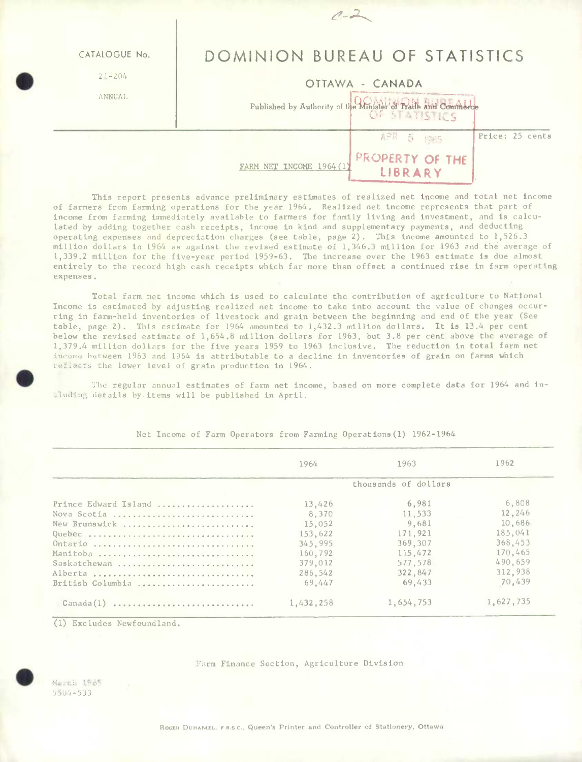| CATALOGUE No.<br>$21 - 204$<br><b>ANNUAL</b> | DOMINION BUREAU OF STATISTICS<br>OTTAWA - CANADA<br>Published by Authority of the Minister of Trade and Commerce |  |  |  |  |  |  |
|----------------------------------------------|------------------------------------------------------------------------------------------------------------------|--|--|--|--|--|--|
|                                              | Price: 25 cents<br>ABR 5<br>1005<br>PROPERTY OF THE<br>FARM NET INCOME 1964 (1<br>LIBRARY                        |  |  |  |  |  |  |

This report presents advance preliminary estimates of realized net income and total net income of farmers from farming operations for the year 1964. Realized net income represents that part of income from farming immediately available to farmers for family living and investment, and is calculated by adding together cash receipts, income in kind and supplementary payments, and deducting operating expenses and depreciation charges (see table, page 2). This income amounted to 1,526.3 million dollars in 1964 as against the revised estimate of 1,346.3 million for 1963 and the average of 1,339.2 million for the five-year period 1959-63. The increase over the 1963 estimate is due almost entirely to the record high cash receipts which far more than offset a continued rise in farm operating expenses.

Total farm net income which is used to calculate the contribution of agriculture to National Income is estimated by adjusting realized net income to take into account the value of changes occurring in farm-held inventories of livestock and grain between the beginning and end of the year (See table, page 2). This estimate for 1964 amounted to 1,432.3 million dollars. It is 13.4 per cent below the revised estimate of 1,654.8 million dollars for 1963, but 3.8 per cent above the average of 1,379.4 million dollars for the five years 1959 to 1963 inclusive. The reduction in total farm net income between 1963 and 1964 is attributable to a decline in inventories of grain on farms which reflects the lower level of grain production in 1964.

2ho regular annual estimates of farm net income, based on more complete data for 1964 and including details by items will be published in April.

|                      | 1964                 | 1963      | 1962      |  |  |  |
|----------------------|----------------------|-----------|-----------|--|--|--|
|                      | thousands of dollars |           |           |  |  |  |
| Prince Edward Island | 13,426               | 6.981     | 6,808     |  |  |  |
| Nova Scotia          | 8,370                | 11,533    | 12,246    |  |  |  |
| New Brunswick        | 15,052               | 9.681     | 10,686    |  |  |  |
| Quebec               | 153,622              | 171,921   | 185.041   |  |  |  |
| Ontario              | 345,995              | 369,307   | 368,453   |  |  |  |
| Manitoba             | 160.792              | 115.472   | 170,465   |  |  |  |
| Saskatchewan         | 379,012              | 577.578   | 490,659   |  |  |  |
| Alberta              | 286,542              | 322,847   | 312,938   |  |  |  |
| British Columbia     | 69,447               | 69.433    | 70,439    |  |  |  |
| $\text{Canada}(1)$   | 1,432,258            | 1,654,753 | 1,627,735 |  |  |  |

Net Income of Farm Operators from Farming Operations(l) 1962-1964

1) Excludes Newfoundland.

## **Farm Finance Section, Agriculture Division**<br>
•H *H* $\frac{1965}{3504-533}$

*3)04-533* 

ROGEH DUHAMEL, F.R.S.C., Queen's Printer and Controller of Stationery, Ottawa